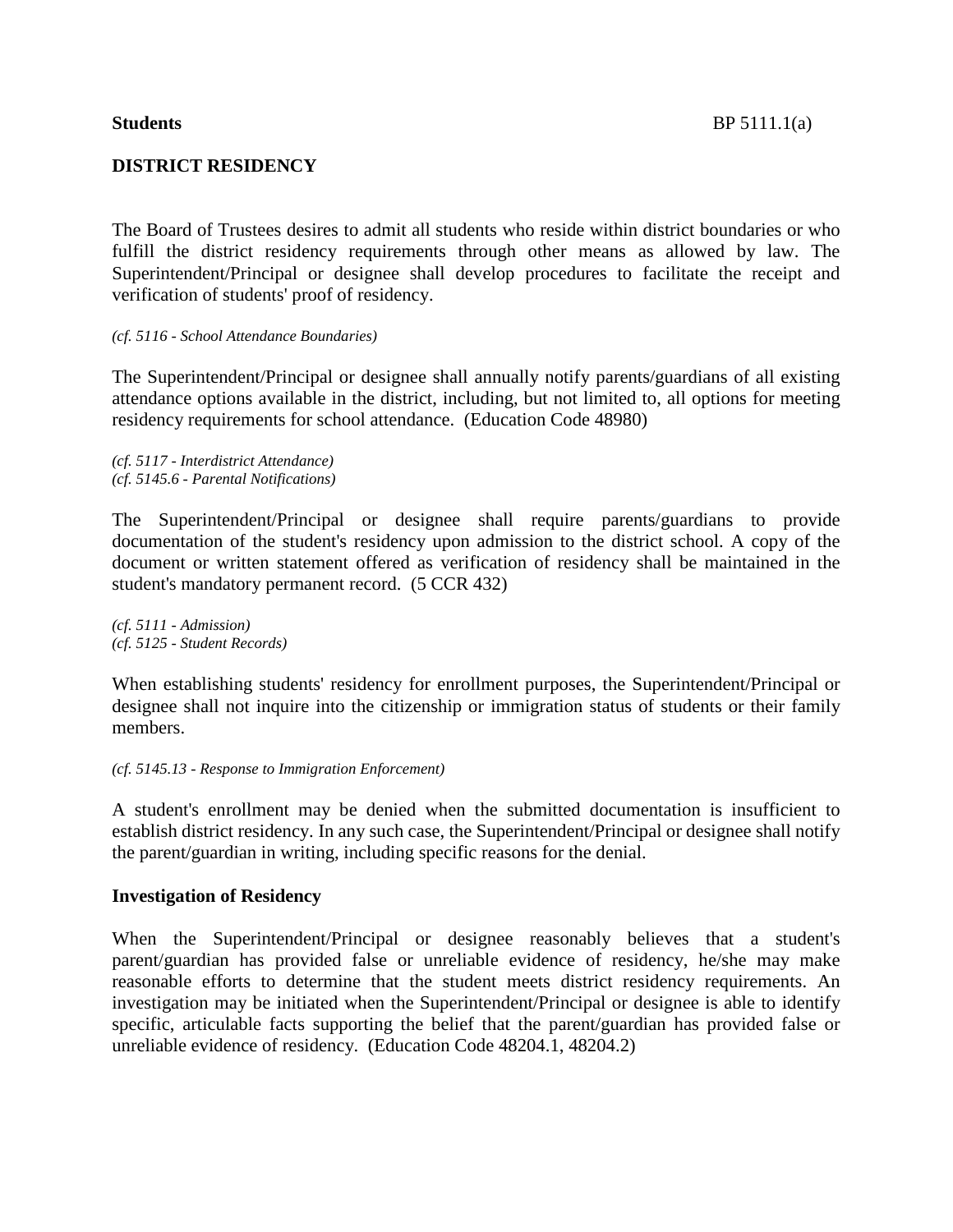# **DISTRICT RESIDENCY**

The Board of Trustees desires to admit all students who reside within district boundaries or who fulfill the district residency requirements through other means as allowed by law. The Superintendent/Principal or designee shall develop procedures to facilitate the receipt and verification of students' proof of residency.

*(cf. 5116 - School Attendance Boundaries)*

The Superintendent/Principal or designee shall annually notify parents/guardians of all existing attendance options available in the district, including, but not limited to, all options for meeting residency requirements for school attendance. (Education Code 48980)

*(cf. 5117 - Interdistrict Attendance) (cf. 5145.6 - Parental Notifications)*

The Superintendent/Principal or designee shall require parents/guardians to provide documentation of the student's residency upon admission to the district school. A copy of the document or written statement offered as verification of residency shall be maintained in the student's mandatory permanent record. (5 CCR 432)

*(cf. 5111 - Admission) (cf. 5125 - Student Records)*

When establishing students' residency for enrollment purposes, the Superintendent/Principal or designee shall not inquire into the citizenship or immigration status of students or their family members.

#### *(cf. 5145.13 - Response to Immigration Enforcement)*

A student's enrollment may be denied when the submitted documentation is insufficient to establish district residency. In any such case, the Superintendent/Principal or designee shall notify the parent/guardian in writing, including specific reasons for the denial.

## **Investigation of Residency**

When the Superintendent/Principal or designee reasonably believes that a student's parent/guardian has provided false or unreliable evidence of residency, he/she may make reasonable efforts to determine that the student meets district residency requirements. An investigation may be initiated when the Superintendent/Principal or designee is able to identify specific, articulable facts supporting the belief that the parent/guardian has provided false or unreliable evidence of residency. (Education Code 48204.1, 48204.2)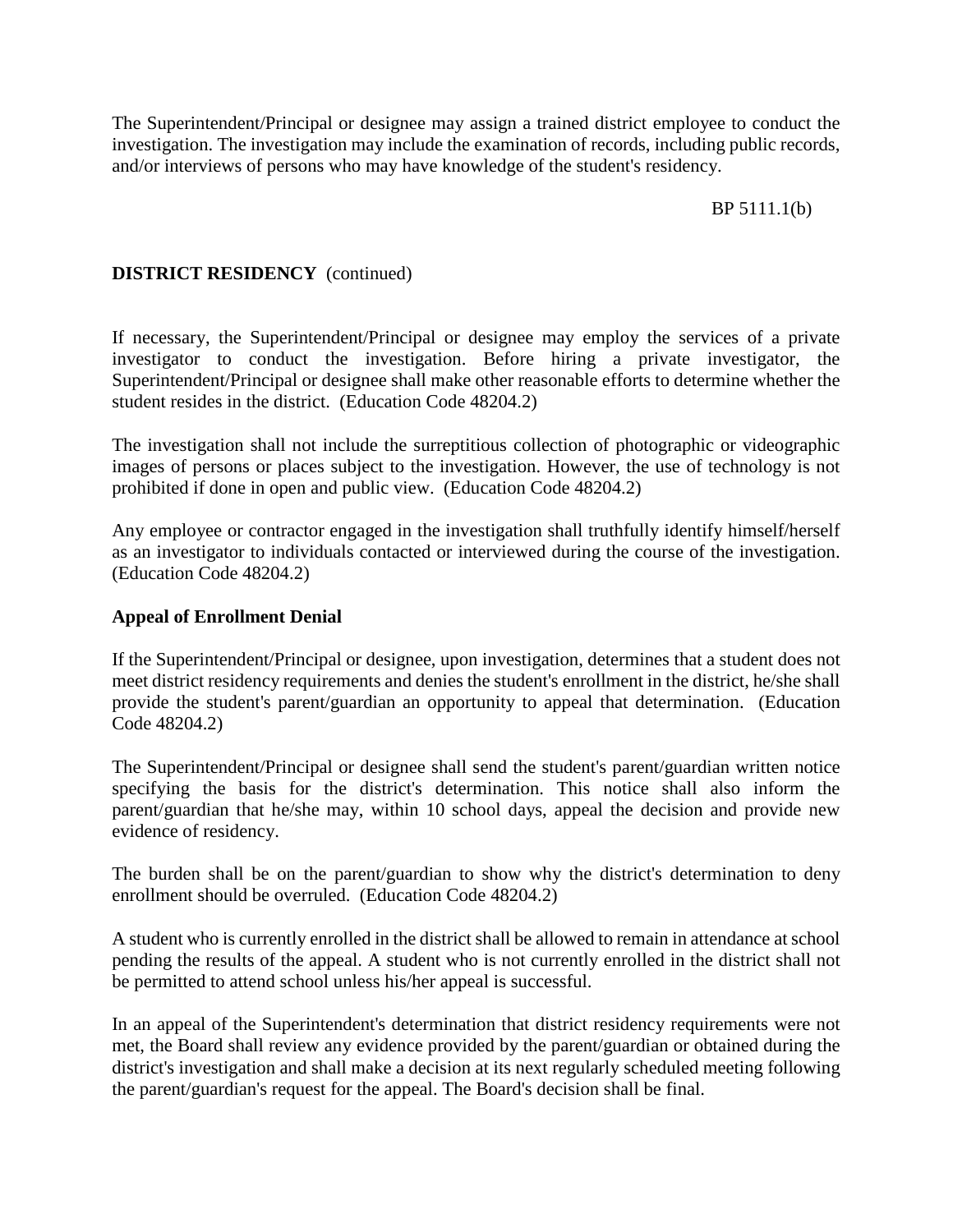The Superintendent/Principal or designee may assign a trained district employee to conduct the investigation. The investigation may include the examination of records, including public records, and/or interviews of persons who may have knowledge of the student's residency.

BP 5111.1(b)

# **DISTRICT RESIDENCY** (continued)

If necessary, the Superintendent/Principal or designee may employ the services of a private investigator to conduct the investigation. Before hiring a private investigator, the Superintendent/Principal or designee shall make other reasonable efforts to determine whether the student resides in the district. (Education Code 48204.2)

The investigation shall not include the surreptitious collection of photographic or videographic images of persons or places subject to the investigation. However, the use of technology is not prohibited if done in open and public view. (Education Code 48204.2)

Any employee or contractor engaged in the investigation shall truthfully identify himself/herself as an investigator to individuals contacted or interviewed during the course of the investigation. (Education Code 48204.2)

# **Appeal of Enrollment Denial**

If the Superintendent/Principal or designee, upon investigation, determines that a student does not meet district residency requirements and denies the student's enrollment in the district, he/she shall provide the student's parent/guardian an opportunity to appeal that determination. (Education Code 48204.2)

The Superintendent/Principal or designee shall send the student's parent/guardian written notice specifying the basis for the district's determination. This notice shall also inform the parent/guardian that he/she may, within 10 school days, appeal the decision and provide new evidence of residency.

The burden shall be on the parent/guardian to show why the district's determination to deny enrollment should be overruled. (Education Code 48204.2)

A student who is currently enrolled in the district shall be allowed to remain in attendance at school pending the results of the appeal. A student who is not currently enrolled in the district shall not be permitted to attend school unless his/her appeal is successful.

In an appeal of the Superintendent's determination that district residency requirements were not met, the Board shall review any evidence provided by the parent/guardian or obtained during the district's investigation and shall make a decision at its next regularly scheduled meeting following the parent/guardian's request for the appeal. The Board's decision shall be final.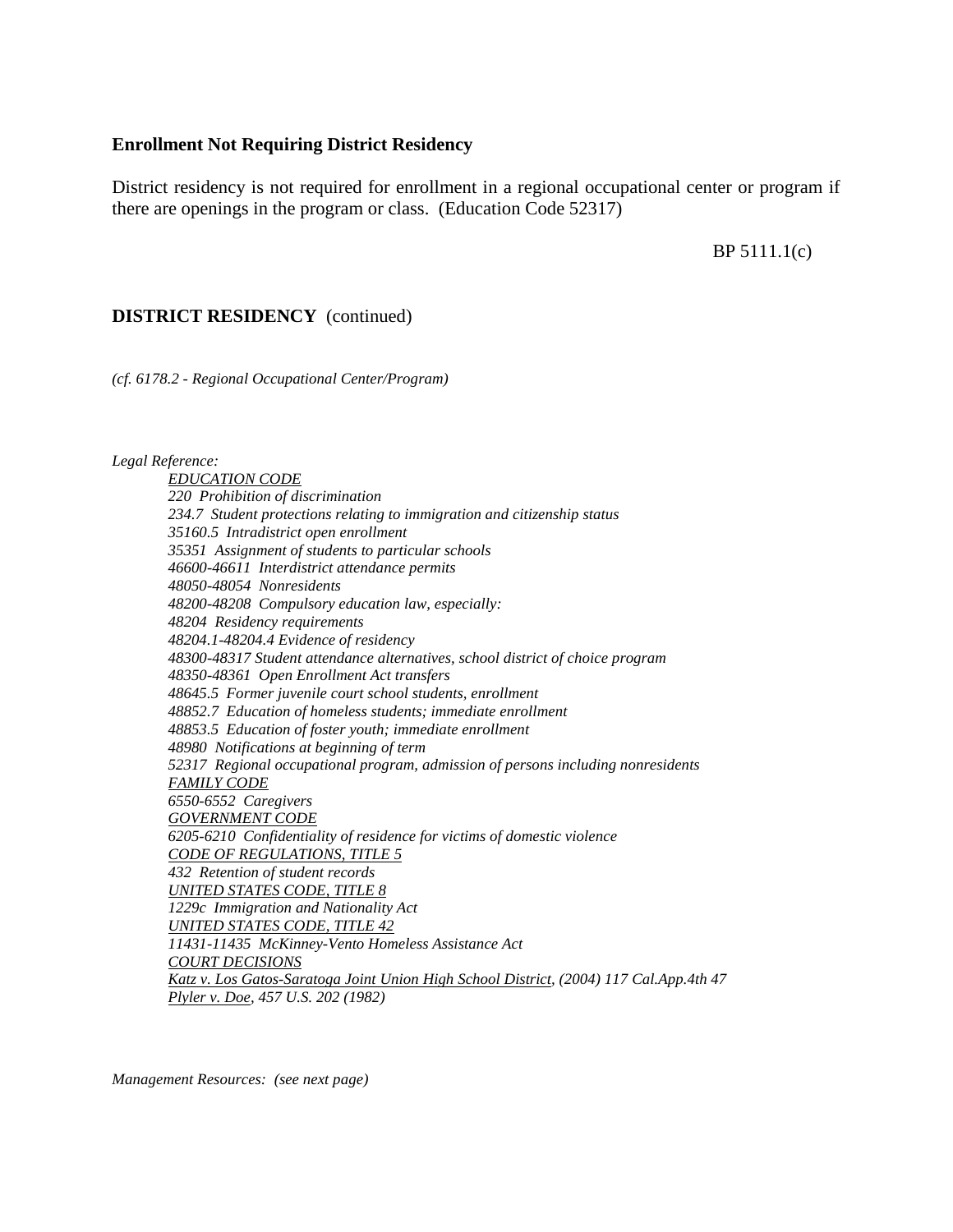## **Enrollment Not Requiring District Residency**

District residency is not required for enrollment in a regional occupational center or program if there are openings in the program or class. (Education Code 52317)

BP 5111.1(c)

# **DISTRICT RESIDENCY** (continued)

*(cf. 6178.2 - Regional Occupational Center/Program)*

#### *Legal Reference:*

*EDUCATION CODE 220 Prohibition of discrimination 234.7 Student protections relating to immigration and citizenship status 35160.5 Intradistrict open enrollment 35351 Assignment of students to particular schools 46600-46611 Interdistrict attendance permits 48050-48054 Nonresidents 48200-48208 Compulsory education law, especially: 48204 Residency requirements 48204.1-48204.4 Evidence of residency 48300-48317 Student attendance alternatives, school district of choice program 48350-48361 Open Enrollment Act transfers 48645.5 Former juvenile court school students, enrollment 48852.7 Education of homeless students; immediate enrollment 48853.5 Education of foster youth; immediate enrollment 48980 Notifications at beginning of term 52317 Regional occupational program, admission of persons including nonresidents FAMILY CODE 6550-6552 Caregivers GOVERNMENT CODE 6205-6210 Confidentiality of residence for victims of domestic violence CODE OF REGULATIONS, TITLE 5 432 Retention of student records UNITED STATES CODE, TITLE 8 1229c Immigration and Nationality Act UNITED STATES CODE, TITLE 42 11431-11435 McKinney-Vento Homeless Assistance Act COURT DECISIONS Katz v. Los Gatos-Saratoga Joint Union High School District, (2004) 117 Cal.App.4th 47 Plyler v. Doe, 457 U.S. 202 (1982)*

*Management Resources: (see next page)*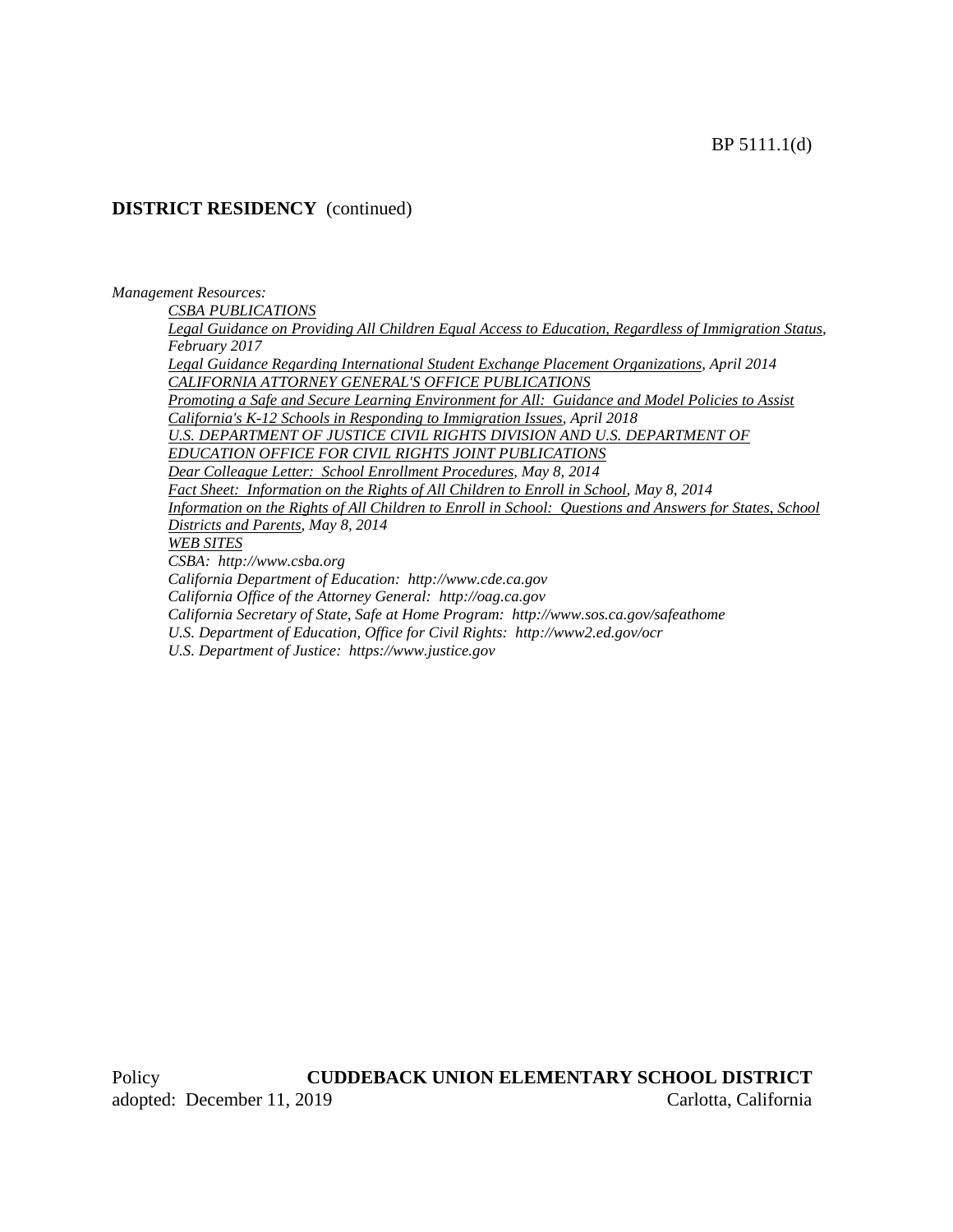# **DISTRICT RESIDENCY** (continued)

*Management Resources:*

*CSBA PUBLICATIONS*

*Legal Guidance on Providing All Children Equal Access to Education, Regardless of Immigration Status, February 2017*

*Legal Guidance Regarding International Student Exchange Placement Organizations, April 2014 CALIFORNIA ATTORNEY GENERAL'S OFFICE PUBLICATIONS*

*Promoting a Safe and Secure Learning Environment for All: Guidance and Model Policies to Assist California's K-12 Schools in Responding to Immigration Issues, April 2018*

U.S. DEPARTMENT OF JUSTICE CIVIL RIGHTS DIVISION AND U.S. DEPARTMENT OF *EDUCATION OFFICE FOR CIVIL RIGHTS JOINT PUBLICATIONS*

*Dear Colleague Letter: School Enrollment Procedures, May 8, 2014*

*Fact Sheet: Information on the Rights of All Children to Enroll in School, May 8, 2014 Information on the Rights of All Children to Enroll in School: Questions and Answers for States, School Districts and Parents, May 8, 2014 WEB SITES CSBA: http://www.csba.org California Department of Education: http://www.cde.ca.gov California Office of the Attorney General: http://oag.ca.gov California Secretary of State, Safe at Home Program: http://www.sos.ca.gov/safeathome U.S. Department of Education, Office for Civil Rights: http://www2.ed.gov/ocr*

*U.S. Department of Justice: https://www.justice.gov*

Policy **CUDDEBACK UNION ELEMENTARY SCHOOL DISTRICT** adopted: December 11, 2019 Carlotta, California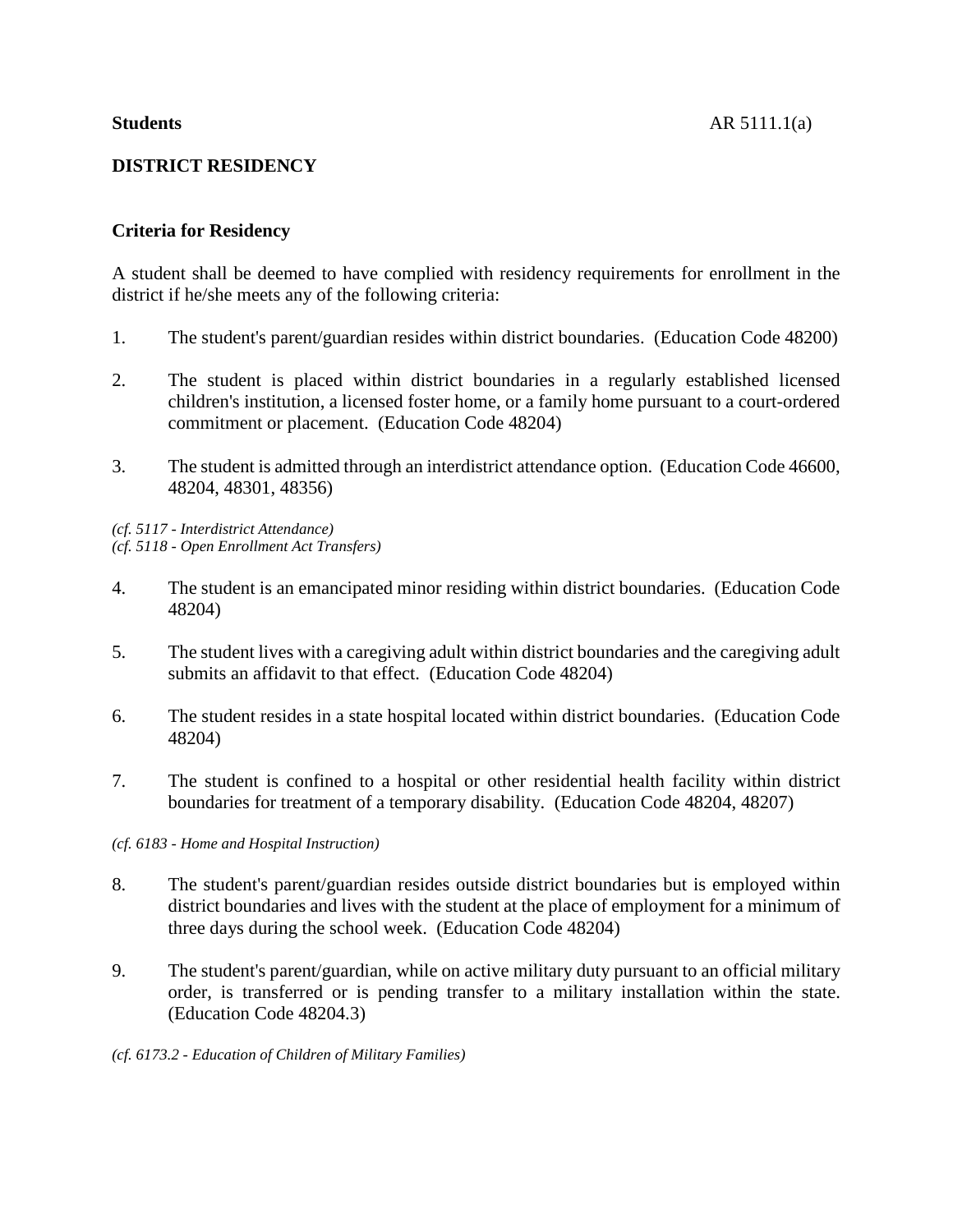# **Criteria for Residency**

A student shall be deemed to have complied with residency requirements for enrollment in the district if he/she meets any of the following criteria:

- 1. The student's parent/guardian resides within district boundaries. (Education Code 48200)
- 2. The student is placed within district boundaries in a regularly established licensed children's institution, a licensed foster home, or a family home pursuant to a court-ordered commitment or placement. (Education Code 48204)
- 3. The student is admitted through an interdistrict attendance option. (Education Code 46600, 48204, 48301, 48356)

*(cf. 5117 - Interdistrict Attendance) (cf. 5118 - Open Enrollment Act Transfers)*

- 4. The student is an emancipated minor residing within district boundaries. (Education Code 48204)
- 5. The student lives with a caregiving adult within district boundaries and the caregiving adult submits an affidavit to that effect. (Education Code 48204)
- 6. The student resides in a state hospital located within district boundaries. (Education Code 48204)
- 7. The student is confined to a hospital or other residential health facility within district boundaries for treatment of a temporary disability. (Education Code 48204, 48207)

*(cf. 6183 - Home and Hospital Instruction)*

- 8. The student's parent/guardian resides outside district boundaries but is employed within district boundaries and lives with the student at the place of employment for a minimum of three days during the school week. (Education Code 48204)
- 9. The student's parent/guardian, while on active military duty pursuant to an official military order, is transferred or is pending transfer to a military installation within the state. (Education Code 48204.3)

*(cf. 6173.2 - Education of Children of Military Families)*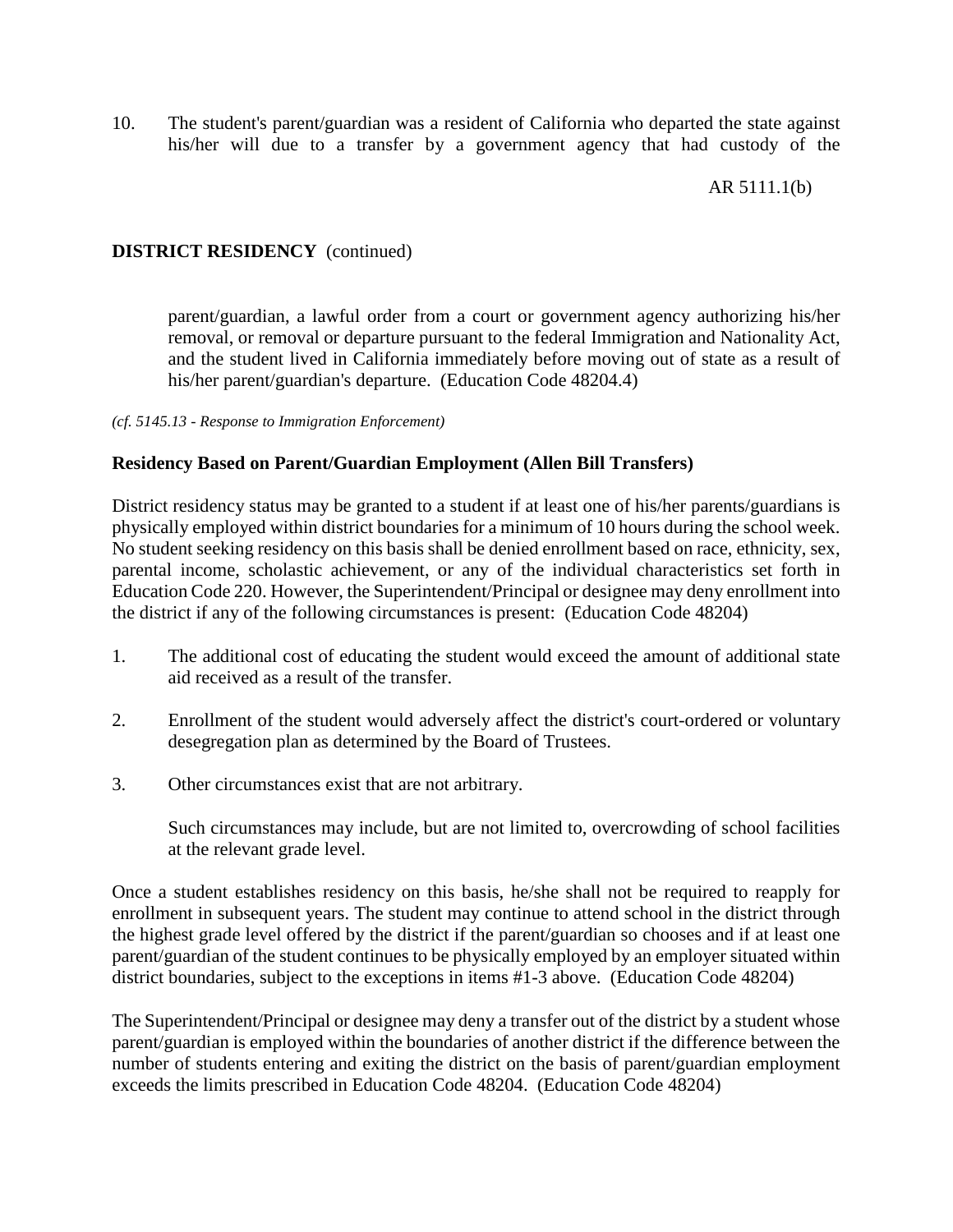10. The student's parent/guardian was a resident of California who departed the state against his/her will due to a transfer by a government agency that had custody of the

# AR 5111.1(b)

# **DISTRICT RESIDENCY** (continued)

parent/guardian, a lawful order from a court or government agency authorizing his/her removal, or removal or departure pursuant to the federal Immigration and Nationality Act, and the student lived in California immediately before moving out of state as a result of his/her parent/guardian's departure. (Education Code 48204.4)

*(cf. 5145.13 - Response to Immigration Enforcement)*

# **Residency Based on Parent/Guardian Employment (Allen Bill Transfers)**

District residency status may be granted to a student if at least one of his/her parents/guardians is physically employed within district boundaries for a minimum of 10 hours during the school week. No student seeking residency on this basis shall be denied enrollment based on race, ethnicity, sex, parental income, scholastic achievement, or any of the individual characteristics set forth in Education Code 220. However, the Superintendent/Principal or designee may deny enrollment into the district if any of the following circumstances is present: (Education Code 48204)

- 1. The additional cost of educating the student would exceed the amount of additional state aid received as a result of the transfer.
- 2. Enrollment of the student would adversely affect the district's court-ordered or voluntary desegregation plan as determined by the Board of Trustees.
- 3. Other circumstances exist that are not arbitrary.

Such circumstances may include, but are not limited to, overcrowding of school facilities at the relevant grade level.

Once a student establishes residency on this basis, he/she shall not be required to reapply for enrollment in subsequent years. The student may continue to attend school in the district through the highest grade level offered by the district if the parent/guardian so chooses and if at least one parent/guardian of the student continues to be physically employed by an employer situated within district boundaries, subject to the exceptions in items #1-3 above. (Education Code 48204)

The Superintendent/Principal or designee may deny a transfer out of the district by a student whose parent/guardian is employed within the boundaries of another district if the difference between the number of students entering and exiting the district on the basis of parent/guardian employment exceeds the limits prescribed in Education Code 48204. (Education Code 48204)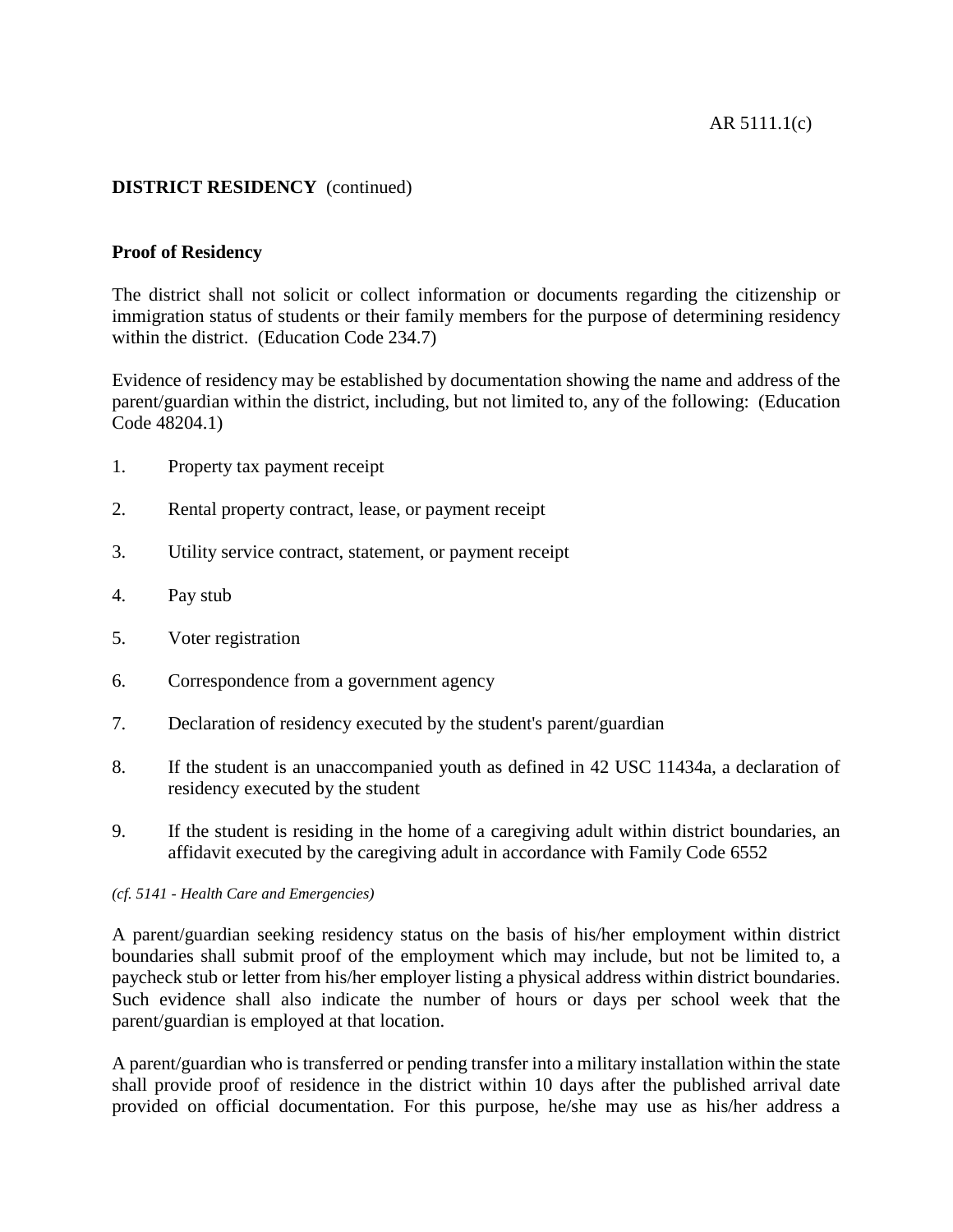# **DISTRICT RESIDENCY** (continued)

# **Proof of Residency**

The district shall not solicit or collect information or documents regarding the citizenship or immigration status of students or their family members for the purpose of determining residency within the district. (Education Code 234.7)

Evidence of residency may be established by documentation showing the name and address of the parent/guardian within the district, including, but not limited to, any of the following: (Education Code 48204.1)

- 1. Property tax payment receipt
- 2. Rental property contract, lease, or payment receipt
- 3. Utility service contract, statement, or payment receipt
- 4. Pay stub
- 5. Voter registration
- 6. Correspondence from a government agency
- 7. Declaration of residency executed by the student's parent/guardian
- 8. If the student is an unaccompanied youth as defined in 42 USC 11434a, a declaration of residency executed by the student
- 9. If the student is residing in the home of a caregiving adult within district boundaries, an affidavit executed by the caregiving adult in accordance with Family Code 6552

## *(cf. 5141 - Health Care and Emergencies)*

A parent/guardian seeking residency status on the basis of his/her employment within district boundaries shall submit proof of the employment which may include, but not be limited to, a paycheck stub or letter from his/her employer listing a physical address within district boundaries. Such evidence shall also indicate the number of hours or days per school week that the parent/guardian is employed at that location.

A parent/guardian who is transferred or pending transfer into a military installation within the state shall provide proof of residence in the district within 10 days after the published arrival date provided on official documentation. For this purpose, he/she may use as his/her address a